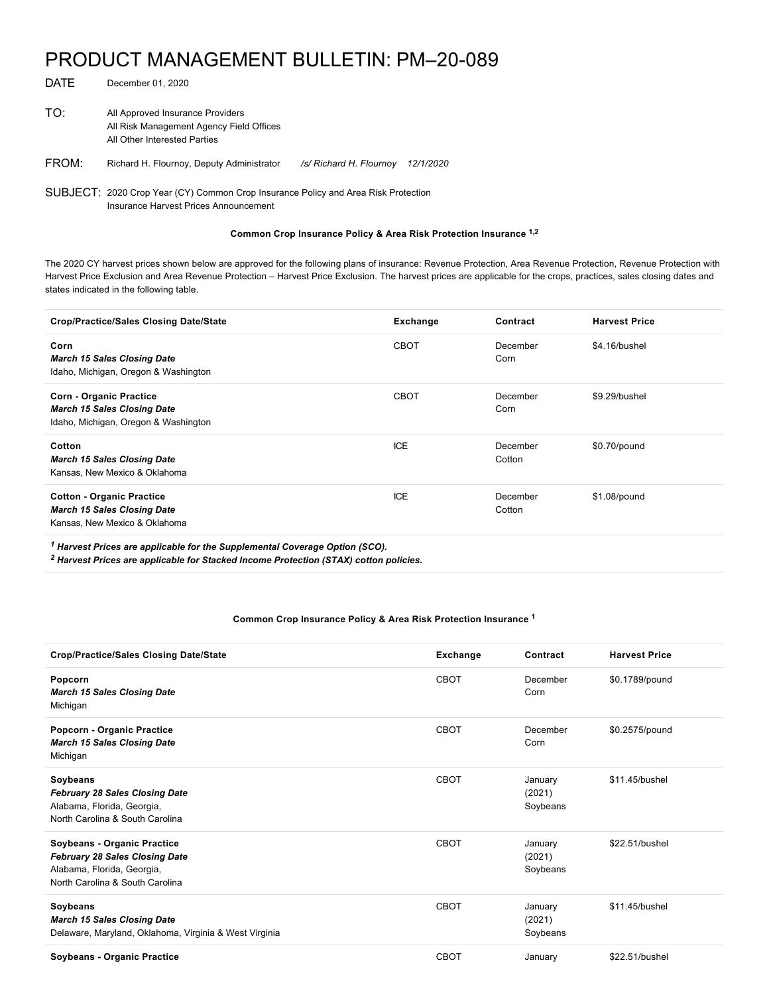## PRODUCT MANAGEMENT BULLETIN: PM–20-089

| DATE  | December 01, 2020                                                                                            |                         |                         |
|-------|--------------------------------------------------------------------------------------------------------------|-------------------------|-------------------------|
| TO:   | All Approved Insurance Providers<br>All Risk Management Agency Field Offices<br>All Other Interested Parties |                         |                         |
| FROM: | Richard H. Flournoy, Deputy Administrator                                                                    | /s/ Richard H. Flournoy | <i><b>12/1/2020</b></i> |
|       | SUBJECT: 2020 Crop Year (CY) Common Crop Insurance Policy and Area Risk Protection                           |                         |                         |

Insurance Harvest Prices Announcement

## **Common Crop Insurance Policy & Area Risk Protection Insurance 1,2**

The 2020 CY harvest prices shown below are approved for the following plans of insurance: Revenue Protection, Area Revenue Protection, Revenue Protection with Harvest Price Exclusion and Area Revenue Protection – Harvest Price Exclusion. The harvest prices are applicable for the crops, practices, sales closing dates and states indicated in the following table.

| Crop/Practice/Sales Closing Date/State                                                                       | Exchange    | Contract           | <b>Harvest Price</b> |
|--------------------------------------------------------------------------------------------------------------|-------------|--------------------|----------------------|
| Corn<br><b>March 15 Sales Closing Date</b><br>Idaho, Michigan, Oregon & Washington                           | <b>CBOT</b> | December<br>Corn   | \$4.16/bushel        |
| <b>Corn - Organic Practice</b><br><b>March 15 Sales Closing Date</b><br>Idaho, Michigan, Oregon & Washington | <b>CBOT</b> | December<br>Corn   | \$9.29/bushel        |
| Cotton<br><b>March 15 Sales Closing Date</b><br>Kansas, New Mexico & Oklahoma                                | ICE         | December<br>Cotton | \$0.70/pound         |
| <b>Cotton - Organic Practice</b><br><b>March 15 Sales Closing Date</b><br>Kansas, New Mexico & Oklahoma      | ICE         | December<br>Cotton | \$1.08/pound         |
|                                                                                                              |             |                    |                      |

 *Harvest Prices are applicable for the Supplemental Coverage Option (SCO). 1*

 *Harvest Prices are applicable for Stacked Income Protection (STAX) cotton policies. 2*

## **Common Crop Insurance Policy & Area Risk Protection Insurance 1**

| <b>Crop/Practice/Sales Closing Date/State</b>                                                                                         | Exchange    | Contract                      | <b>Harvest Price</b> |
|---------------------------------------------------------------------------------------------------------------------------------------|-------------|-------------------------------|----------------------|
| Popcorn<br><b>March 15 Sales Closing Date</b><br>Michigan                                                                             | CBOT        | December<br>Corn              | \$0.1789/pound       |
| Popcorn - Organic Practice<br><b>March 15 Sales Closing Date</b><br>Michigan                                                          | CBOT        | December<br>Corn              | \$0.2575/pound       |
| Soybeans<br><b>February 28 Sales Closing Date</b><br>Alabama, Florida, Georgia,<br>North Carolina & South Carolina                    | <b>CBOT</b> | January<br>(2021)<br>Soybeans | \$11.45/bushel       |
| Soybeans - Organic Practice<br><b>February 28 Sales Closing Date</b><br>Alabama, Florida, Georgia,<br>North Carolina & South Carolina | CBOT        | January<br>(2021)<br>Soybeans | \$22.51/bushel       |
| Soybeans<br><b>March 15 Sales Closing Date</b><br>Delaware, Maryland, Oklahoma, Virginia & West Virginia                              | <b>CBOT</b> | January<br>(2021)<br>Soybeans | \$11.45/bushel       |
| Soybeans - Organic Practice                                                                                                           | <b>CBOT</b> | January                       | \$22.51/bushel       |